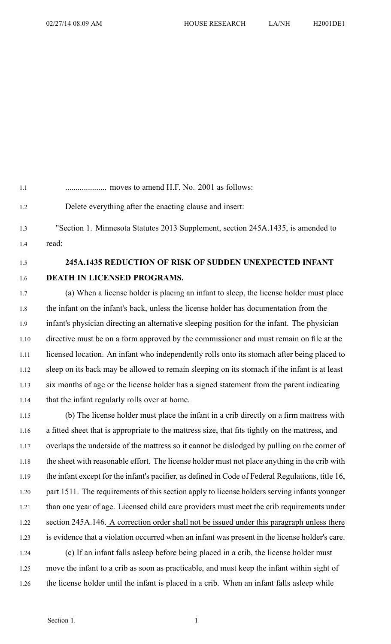1.1 .................... moves to amend H.F. No. 2001 as follows: 1.2 Delete everything after the enacting clause and insert: 1.3 "Section 1. Minnesota Statutes 2013 Supplement, section 245A.1435, is amended to 1.4 read: 1.5 **245A.1435 REDUCTION OF RISK OF SUDDEN UNEXPECTED INFANT** 1.6 **DEATH IN LICENSED PROGRAMS.** 1.7 (a) When <sup>a</sup> license holder is placing an infant to sleep, the license holder must place 1.8 the infant on the infant's back, unless the license holder has documentation from the 1.9 infant's physician directing an alternative sleeping position for the infant. The physician 1.10 directive must be on <sup>a</sup> form approved by the commissioner and must remain on file at the 1.11 licensed location. An infant who independently rolls onto its stomach after being placed to 1.12 sleep on its back may be allowed to remain sleeping on its stomach if the infant is at least 1.13 six months of age or the license holder has <sup>a</sup> signed statement from the paren<sup>t</sup> indicating 1.14 that the infant regularly rolls over at home.

1.15 (b) The license holder must place the infant in <sup>a</sup> crib directly on <sup>a</sup> firm mattress with 1.16 <sup>a</sup> fitted sheet that is appropriate to the mattress size, that fits tightly on the mattress, and 1.17 overlaps the underside of the mattress so it cannot be dislodged by pulling on the corner of 1.18 the sheet with reasonable effort. The license holder must not place anything in the crib with 1.19 the infant excep<sup>t</sup> for the infant's pacifier, as defined in Code of Federal Regulations, title 16, 1.20 par<sup>t</sup> 1511. The requirements of this section apply to license holders serving infants younger 1.21 than one year of age. Licensed child care providers must meet the crib requirements under 1.22 section 245A.146. A correction order shall not be issued under this paragraph unless there 1.23 is evidence that <sup>a</sup> violation occurred when an infant was presen<sup>t</sup> in the license holder's care. 1.24 (c) If an infant falls asleep before being placed in <sup>a</sup> crib, the license holder must 1.25 move the infant to <sup>a</sup> crib as soon as practicable, and must keep the infant within sight of

1.26 the license holder until the infant is placed in <sup>a</sup> crib. When an infant falls asleep while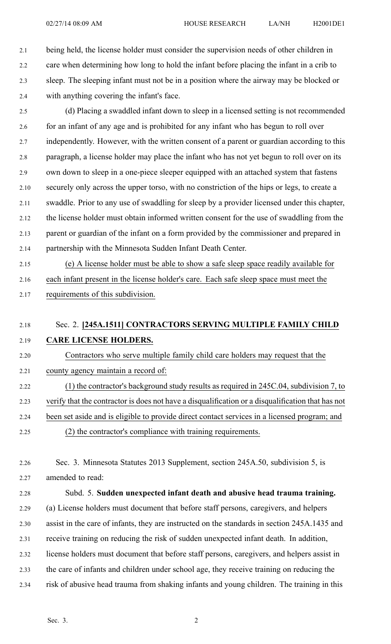2.1 being held, the license holder must consider the supervision needs of other children in 2.2 care when determining how long to hold the infant before placing the infant in <sup>a</sup> crib to 2.3 sleep. The sleeping infant must not be in <sup>a</sup> position where the airway may be blocked or 2.4 with anything covering the infant's face.

2.5 (d) Placing <sup>a</sup> swaddled infant down to sleep in <sup>a</sup> licensed setting is not recommended 2.6 for an infant of any age and is prohibited for any infant who has begun to roll over 2.7 independently. However, with the written consent of a parent or guardian according to this 2.8 paragraph, <sup>a</sup> license holder may place the infant who has not ye<sup>t</sup> begun to roll over on its 2.9 own down to sleep in <sup>a</sup> one-piece sleeper equipped with an attached system that fastens 2.10 securely only across the upper torso, with no constriction of the hips or legs, to create <sup>a</sup> 2.11 swaddle. Prior to any use of swaddling for sleep by <sup>a</sup> provider licensed under this chapter, 2.12 the license holder must obtain informed written consent for the use of swaddling from the 2.13 paren<sup>t</sup> or guardian of the infant on <sup>a</sup> form provided by the commissioner and prepared in 2.14 partnership with the Minnesota Sudden Infant Death Center.

2.15 (e) A license holder must be able to show <sup>a</sup> safe sleep space readily available for 2.16 each infant presen<sup>t</sup> in the license holder's care. Each safe sleep space must meet the 2.17 requirements of this subdivision.

## 2.18 Sec. 2. **[245A.1511] CONTRACTORS SERVING MULTIPLE FAMILY CHILD** 2.19 **CARE LICENSE HOLDERS.**

2.20 Contractors who serve multiple family child care holders may reques<sup>t</sup> that the 2.21 county agency maintain <sup>a</sup> record of:

- 2.22 (1) the contractor's background study results as required in 245C.04, subdivision 7, to 2.23 verify that the contractor is does not have <sup>a</sup> disqualification or <sup>a</sup> disqualification that has not 2.24 been set aside and is eligible to provide direct contact services in <sup>a</sup> licensed program; and
- 2.25 (2) the contractor's compliance with training requirements.
- 2.26 Sec. 3. Minnesota Statutes 2013 Supplement, section 245A.50, subdivision 5, is 2.27 amended to read:

2.28 Subd. 5. **Sudden unexpected infant death and abusive head trauma training.** 2.29 (a) License holders must document that before staff persons, caregivers, and helpers 2.30 assist in the care of infants, they are instructed on the standards in section 245A.1435 and 2.31 receive training on reducing the risk of sudden unexpected infant death. In addition, 2.32 license holders must document that before staff persons, caregivers, and helpers assist in 2.33 the care of infants and children under school age, they receive training on reducing the 2.34 risk of abusive head trauma from shaking infants and young children. The training in this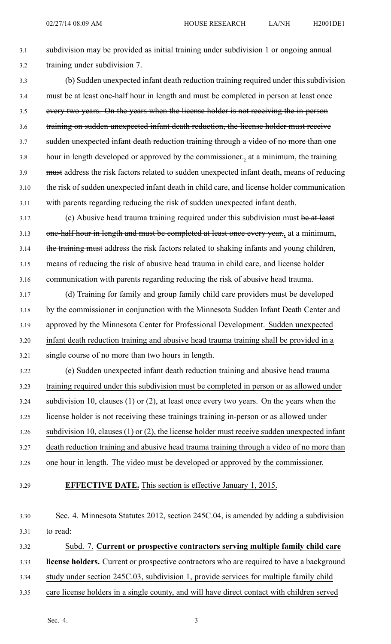3.1 subdivision may be provided as initial training under subdivision 1 or ongoing annual 3.2 training under subdivision 7.

3.3 (b) Sudden unexpected infant death reduction training required under this subdivision 3.4 must be at least one-half hour in length and must be completed in person at least once 3.5 every two years. On the years when the license holder is not receiving the in-person 3.6 training on sudden unexpected infant death reduction, the license holder must receive 3.7 sudden unexpected infant death reduction training through <sup>a</sup> video of no more than one 3.8 hour in length developed or approved by the commissioner., at a minimum, the training 3.9 must address the risk factors related to sudden unexpected infant death, means of reducing 3.10 the risk of sudden unexpected infant death in child care, and license holder communication 3.11 with parents regarding reducing the risk of sudden unexpected infant death.

3.12 (c) Abusive head trauma training required under this subdivision must be at least 3.13 one-half hour in length and must be completed at least once every year., at a minimum, 3.14 the training must address the risk factors related to shaking infants and young children, 3.15 means of reducing the risk of abusive head trauma in child care, and license holder 3.16 communication with parents regarding reducing the risk of abusive head trauma.

3.17 (d) Training for family and group family child care providers must be developed 3.18 by the commissioner in conjunction with the Minnesota Sudden Infant Death Center and 3.19 approved by the Minnesota Center for Professional Development. Sudden unexpected 3.20 infant death reduction training and abusive head trauma training shall be provided in <sup>a</sup> 3.21 single course of no more than two hours in length.

3.22 (e) Sudden unexpected infant death reduction training and abusive head trauma 3.23 training required under this subdivision must be completed in person or as allowed under 3.24 subdivision 10, clauses (1) or (2), at least once every two years. On the years when the 3.25 license holder is not receiving these trainings training in-person or as allowed under 3.26 subdivision 10, clauses (1) or (2), the license holder must receive sudden unexpected infant 3.27 death reduction training and abusive head trauma training through <sup>a</sup> video of no more than 3.28 one hour in length. The video must be developed or approved by the commissioner.

3.29 **EFFECTIVE DATE.** This section is effective January 1, 2015.

3.30 Sec. 4. Minnesota Statutes 2012, section 245C.04, is amended by adding <sup>a</sup> subdivision 3.31 to read:

3.32 Subd. 7. **Current or prospective contractors serving multiple family child care**

3.33 **license holders.** Current or prospective contractors who are required to have <sup>a</sup> background

- 3.34 study under section 245C.03, subdivision 1, provide services for multiple family child
- 3.35 care license holders in <sup>a</sup> single county, and will have direct contact with children served